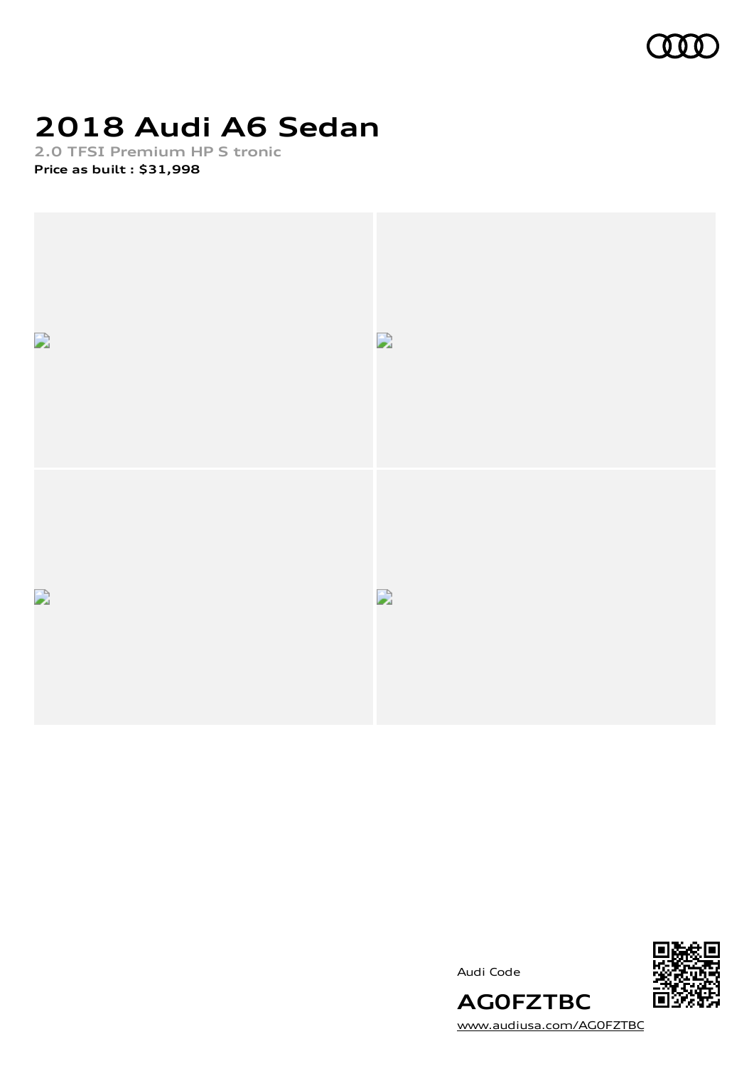

# **2018 Audi A6 Sedan**

**2.0 TFSI Premium HP S tronic Price as built [:](#page-11-0) \$31,998**



Audi Code



[www.audiusa.com/AG0FZTBC](https://www.audiusa.com/AG0FZTBC)

**AG0FZTBC**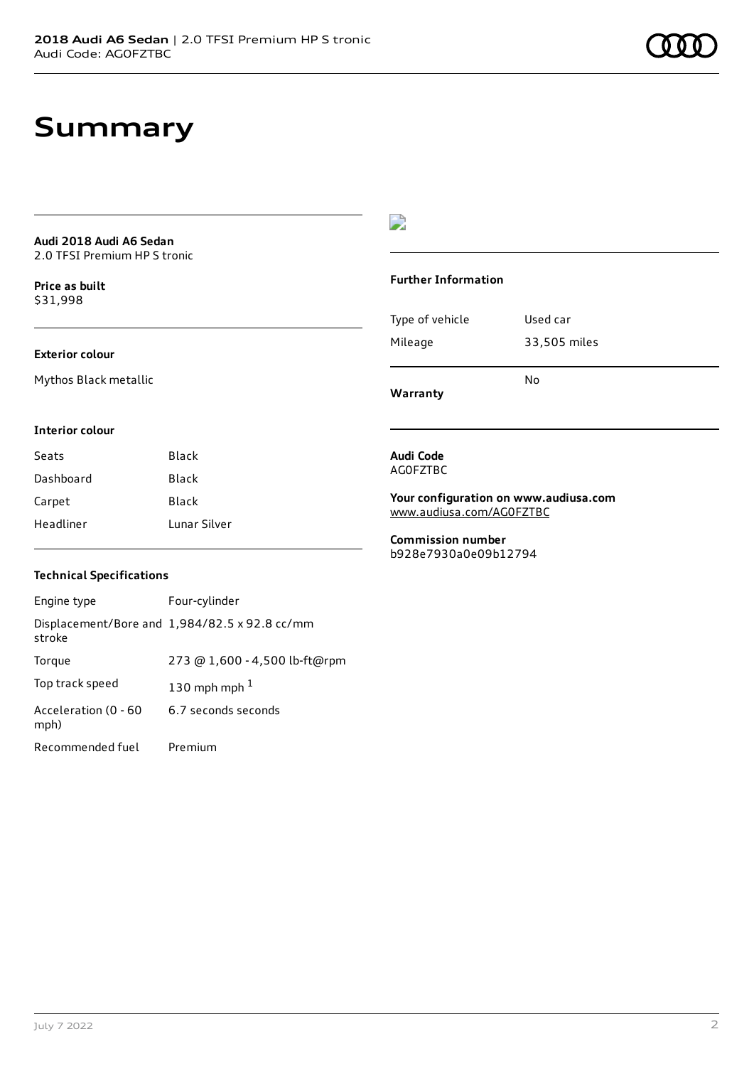## **Summary**

**Audi 2018 Audi A6 Sedan** 2.0 TFSI Premium HP S tronic

**Price as buil[t](#page-11-0)** \$31,998

### **Exterior colour**

Mythos Black metallic

### $\overline{\phantom{a}}$

#### **Further Information**

|                 | N٥           |
|-----------------|--------------|
| Mileage         | 33,505 miles |
| Type of vehicle | Used car     |

**Warranty**

#### **Interior colour**

| Seats     | Black        |
|-----------|--------------|
| Dashboard | Black        |
| Carpet    | Black        |
| Headliner | Lunar Silver |

### **Technical Specifications**

| Engine type                  | Four-cylinder                                 |
|------------------------------|-----------------------------------------------|
| stroke                       | Displacement/Bore and 1,984/82.5 x 92.8 cc/mm |
| Torque                       | 273 @ 1,600 - 4,500 lb-ft@rpm                 |
| Top track speed              | 130 mph mph $1$                               |
| Acceleration (0 - 60<br>mph) | 6.7 seconds seconds                           |
| Recommended fuel             | Premium                                       |

**Audi Code** AG0FZTBC

**Your configuration on www.audiusa.com** [www.audiusa.com/AG0FZTBC](https://www.audiusa.com/AG0FZTBC)

**Commission number** b928e7930a0e09b12794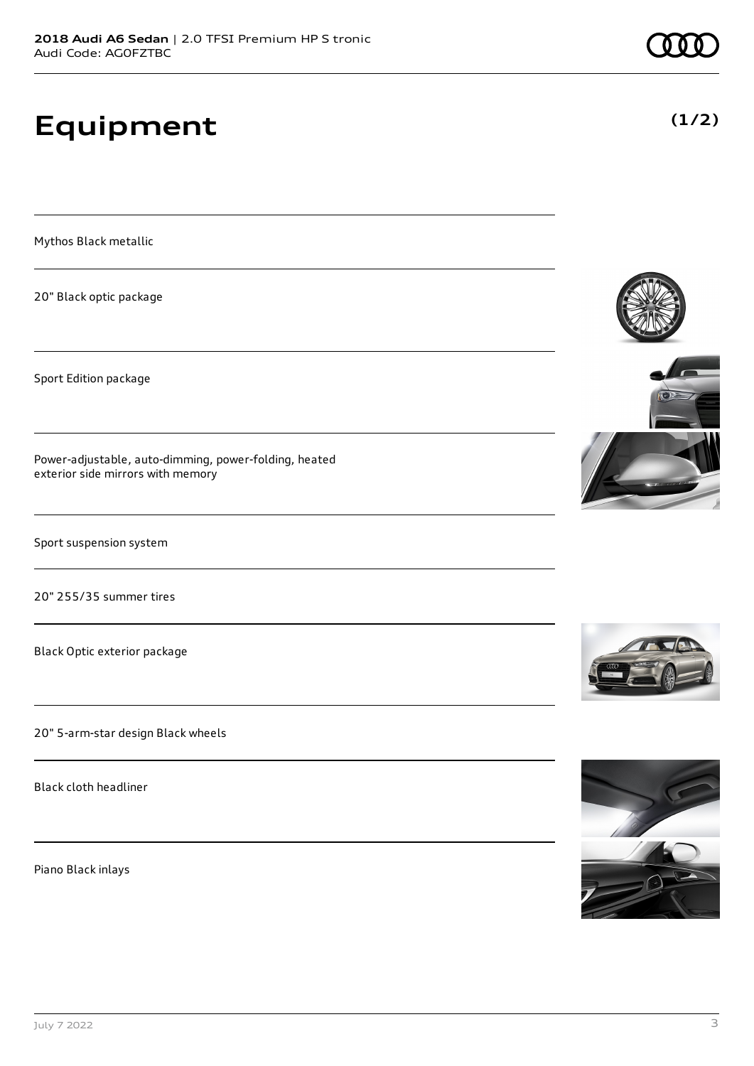# **Equipment**

Mythos Black metallic

20" Black optic package

Sport Edition package

Power-adjustable, auto-dimming, power-folding, heated exterior side mirrors with memory

Sport suspension system

20" 255/35 summer tires

Black Optic exterior package

20" 5-arm-star design Black wheels

Black cloth headliner

Piano Black inlays













**(1/2)**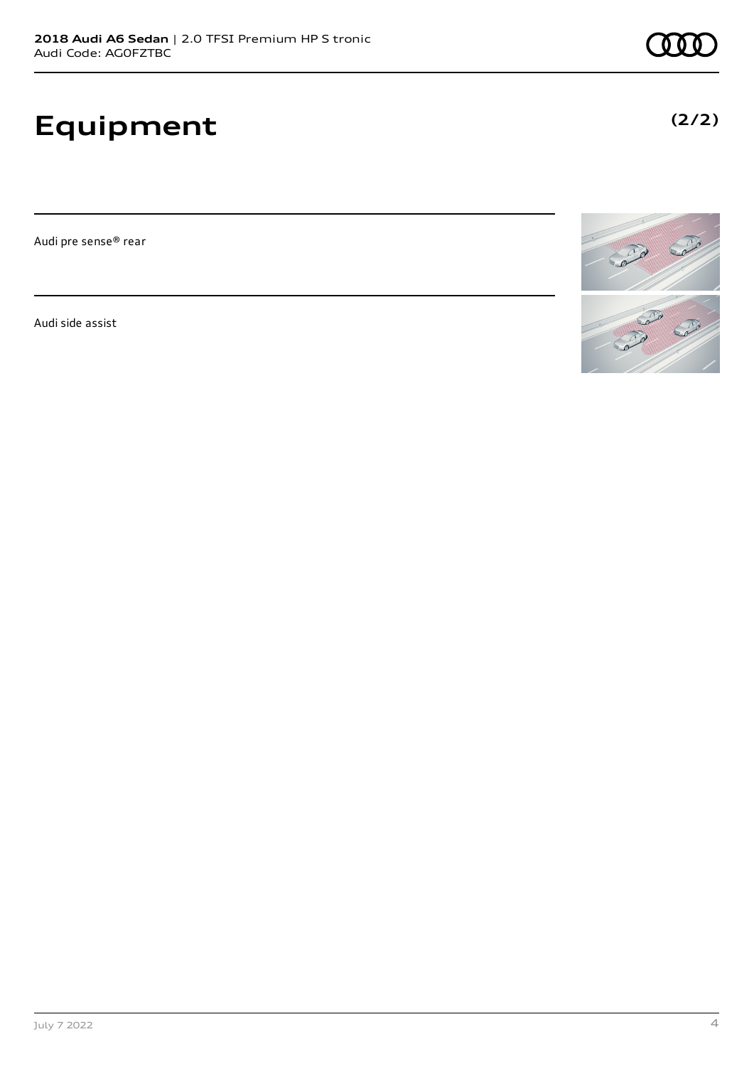# **Equipment**

Audi pre sense® rear

Audi side assist



**(2/2)**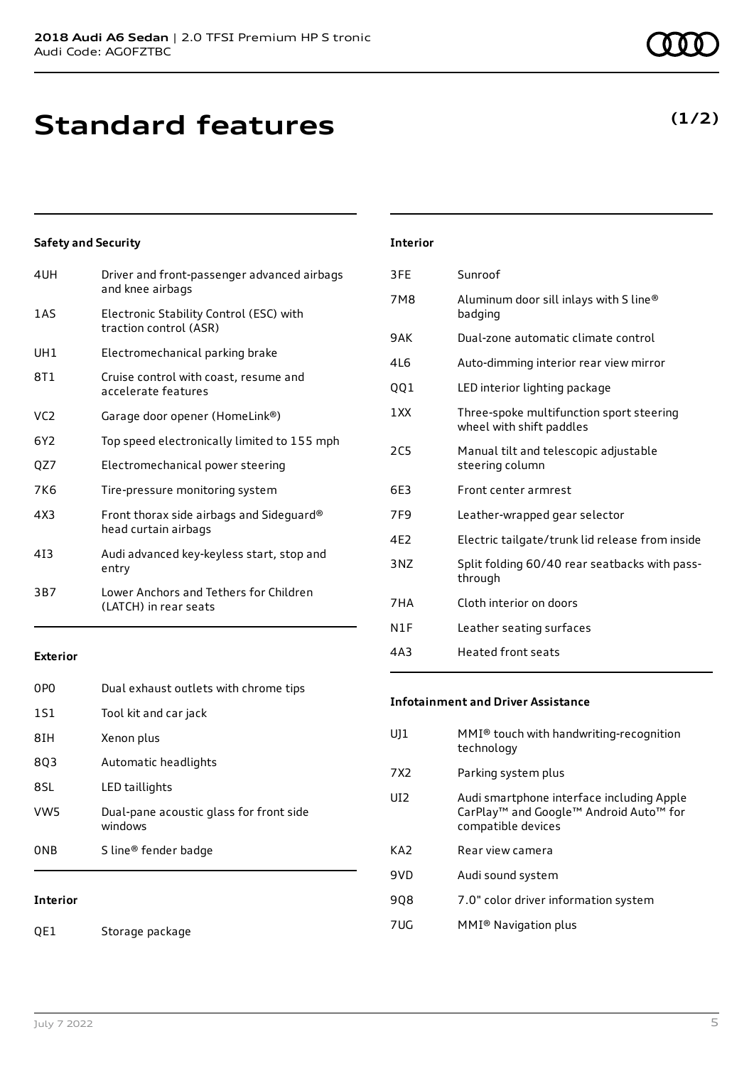## **Standard features**

**Safety and Security**

| 4UH             | Driver and front-passenger advanced airbags<br>and knee airbags   |
|-----------------|-------------------------------------------------------------------|
| <b>1AS</b>      | Electronic Stability Control (ESC) with<br>traction control (ASR) |
| UH1             | Electromechanical parking brake                                   |
| 8T 1            | Cruise control with coast, resume and<br>accelerate features      |
| VC <sub>2</sub> | Garage door opener (HomeLink®)                                    |
| 6Y2             | Top speed electronically limited to 155 mph                       |
| QZ7             | Electromechanical power steering                                  |
| 7K6             | Tire-pressure monitoring system                                   |
| 4X3             | Front thorax side airbags and Sideguard®<br>head curtain airbags  |
| 413             | Audi advanced key-keyless start, stop and<br>entry                |
| 3B7             | Lower Anchors and Tethers for Children<br>(LATCH) in rear seats   |

#### **Exterior**

| <b>Interior</b> |                                                    |
|-----------------|----------------------------------------------------|
| 0 <sub>NB</sub> | S line <sup>®</sup> fender badge                   |
| VW <sub>5</sub> | Dual-pane acoustic glass for front side<br>windows |
| 8SL             | LED taillights                                     |
| 8Q3             | Automatic headlights                               |
| 8IH             | Xenon plus                                         |
| 1S1             | Tool kit and car jack                              |
| 0PO             | Dual exhaust outlets with chrome tips              |

QE1 Storage package

| airbags | 3FE. | Sunroof                                           |
|---------|------|---------------------------------------------------|
|         | 7M8  | Aluminum door sill inlays with S line®<br>badging |
|         | 9AK  | Dual-zone automatic climate control               |
|         | 4L6  | Auto-dimming interior rear view mirror            |

**Interior**

- QQ1 LED interior lighting package
- 1XX Three-spoke multifunction sport steering wheel with shift paddles
- 2C5 Manual tilt and telescopic adjustable steering column
- 6E3 Front center armrest
- 7F9 Leather-wrapped gear selector
- 4E2 Electric tailgate/trunk lid release from inside
- 3NZ Split folding 60/40 rear seatbacks with passthrough
- 7HA Cloth interior on doors
- N1F Leather seating surfaces
- 4A3 Heated front seats

#### **Infotainment and Driver Assistance**

| U11             | $MMI®$ touch with handwriting-recognition<br>technology                                                               |
|-----------------|-----------------------------------------------------------------------------------------------------------------------|
| 7X2             | Parking system plus                                                                                                   |
| UI <sub>2</sub> | Audi smartphone interface including Apple<br>CarPlay <sup>™</sup> and Google™ Android Auto™ for<br>compatible devices |
| KA <sub>2</sub> | Rear view camera                                                                                                      |
| 9VD             | Audi sound system                                                                                                     |
| 908             | 7.0" color driver information system                                                                                  |
| 7UG             | MMI <sup>®</sup> Navigation plus                                                                                      |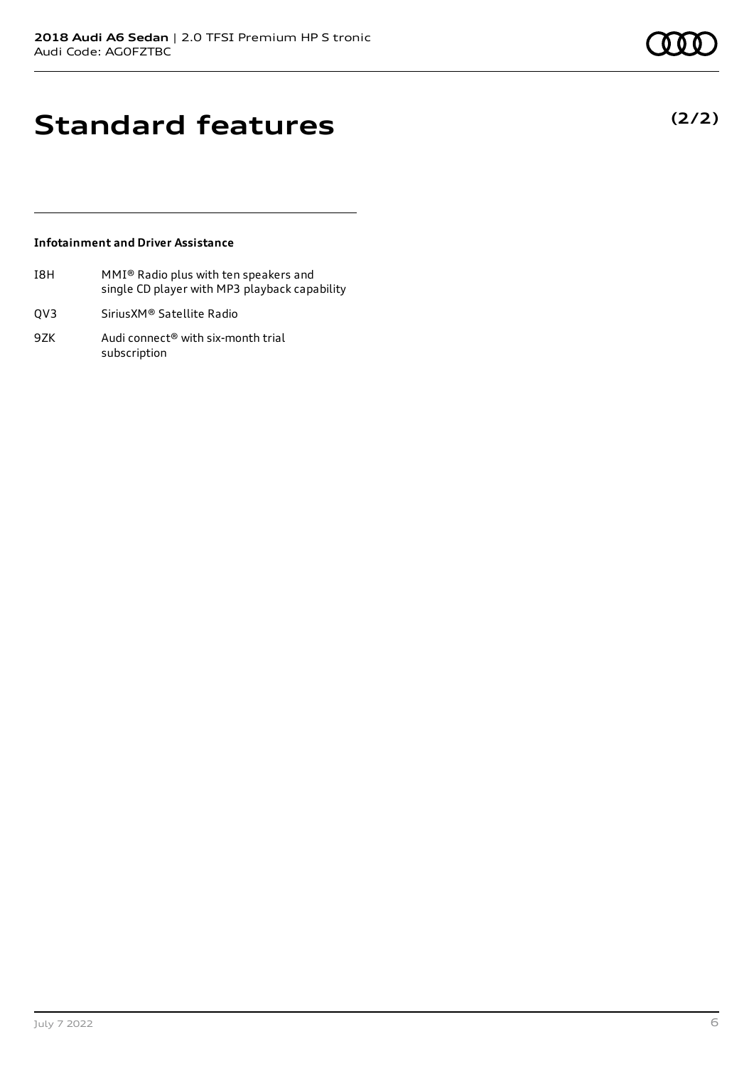**(2/2)**

## **Standard features**

### **Infotainment and Driver Assistance**

- I8H MMI® Radio plus with ten speakers and single CD player with MP3 playback capability
- QV3 SiriusXM® Satellite Radio
- 9ZK Audi connect<sup>®</sup> with six-month trial subscription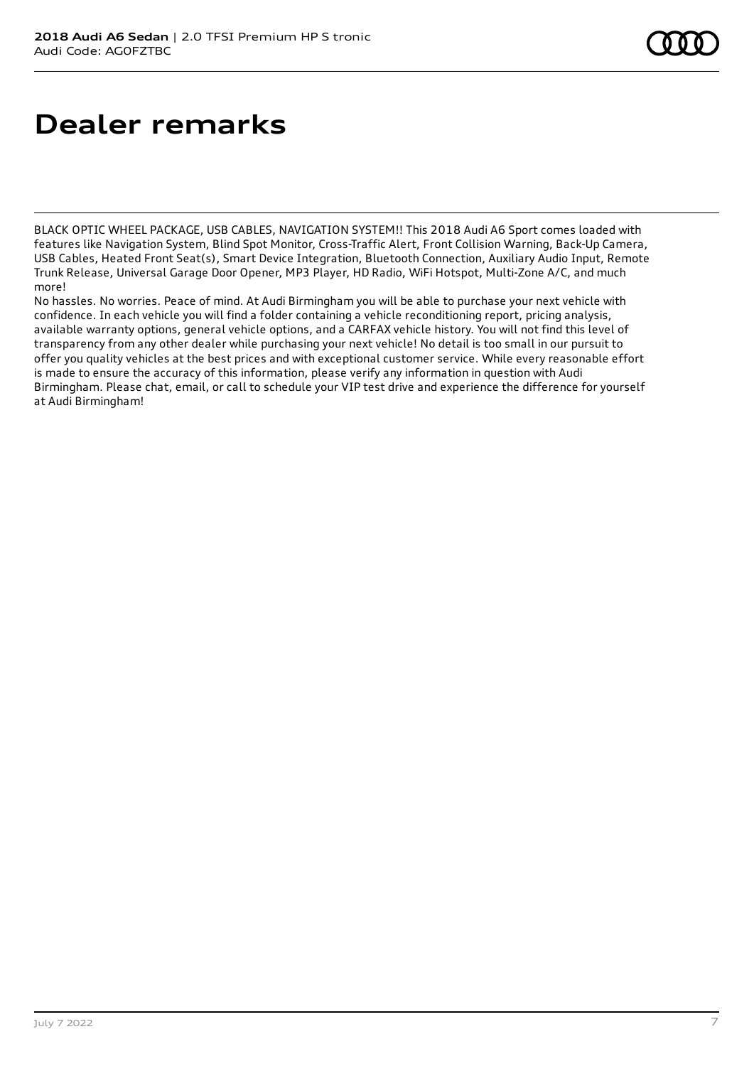## **Dealer remarks**

BLACK OPTIC WHEEL PACKAGE, USB CABLES, NAVIGATION SYSTEM!! This 2018 Audi A6 Sport comes loaded with features like Navigation System, Blind Spot Monitor, Cross-Traffic Alert, Front Collision Warning, Back-Up Camera, USB Cables, Heated Front Seat(s), Smart Device Integration, Bluetooth Connection, Auxiliary Audio Input, Remote Trunk Release, Universal Garage Door Opener, MP3 Player, HD Radio, WiFi Hotspot, Multi-Zone A/C, and much more!

No hassles. No worries. Peace of mind. At Audi Birmingham you will be able to purchase your next vehicle with confidence. In each vehicle you will find a folder containing a vehicle reconditioning report, pricing analysis, available warranty options, general vehicle options, and a CARFAX vehicle history. You will not find this level of transparency from any other dealer while purchasing your next vehicle! No detail is too small in our pursuit to offer you quality vehicles at the best prices and with exceptional customer service. While every reasonable effort is made to ensure the accuracy of this information, please verify any information in question with Audi Birmingham. Please chat, email, or call to schedule your VIP test drive and experience the difference for yourself at Audi Birmingham!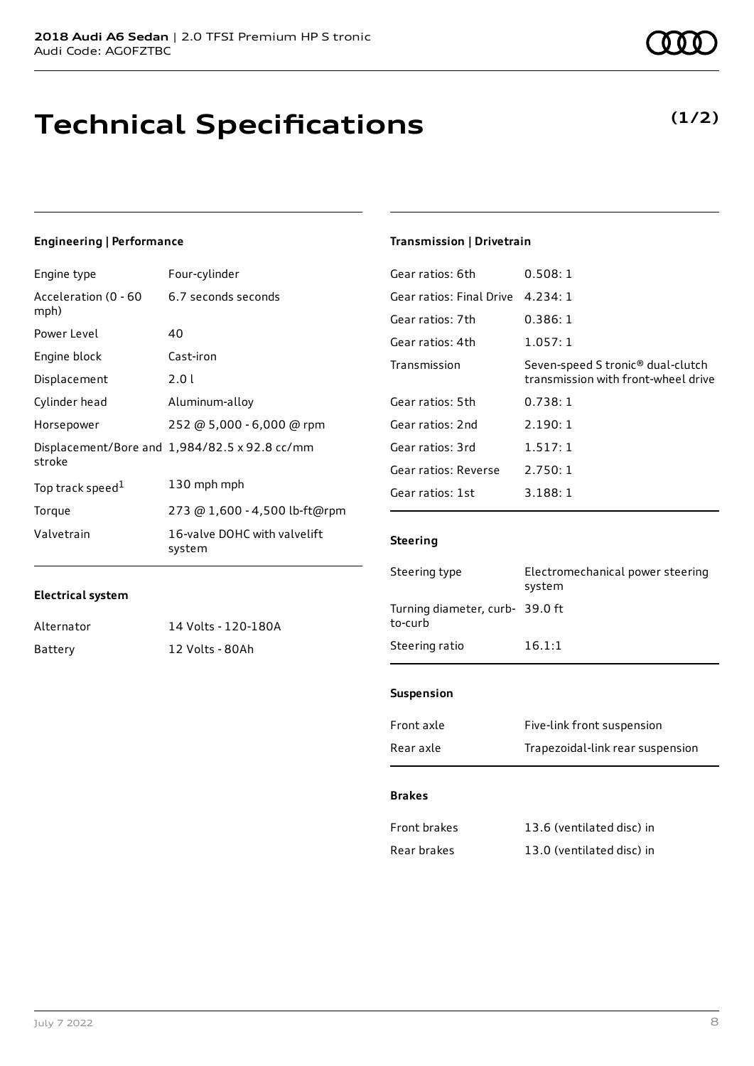## **Technical Specifications**

### **Engineering | Performance**

| Engine type                  | Four-cylinder                                 |
|------------------------------|-----------------------------------------------|
| Acceleration (0 - 60<br>mph) | 6.7 seconds seconds                           |
| Power Level                  | 40                                            |
| Engine block                 | Cast-iron                                     |
| Displacement                 | 2.01                                          |
| Cylinder head                | Aluminum-alloy                                |
| Horsepower                   | 252 @ 5,000 - 6,000 @ rpm                     |
| stroke                       | Displacement/Bore and 1,984/82.5 x 92.8 cc/mm |
| Top track speed <sup>1</sup> | 130 mph mph                                   |
| Torque                       | 273 @ 1,600 - 4,500 lb-ft@rpm                 |
| Valvetrain                   | 16-valve DOHC with valvelift<br>system        |

Alternator 14 Volts - 120-180A

Battery 12 Volts - 80Ah

#### **Transmission | Drivetrain**

| Gear ratios: 6th         | 0.508:1                                                                              |
|--------------------------|--------------------------------------------------------------------------------------|
| Gear ratios: Final Drive | 4.234:1                                                                              |
| Gear ratios: 7th         | 0.386:1                                                                              |
| Gear ratios: 4th         | 1.057:1                                                                              |
| Transmission             | Seven-speed S tronic <sup>®</sup> dual-clutch<br>transmission with front-wheel drive |
| Gear ratios: 5th         | 0.738:1                                                                              |
| Gear ratios: 2nd         | 2.190:1                                                                              |
| Gear ratios: 3rd         | 1.517:1                                                                              |
| Gear ratios: Reverse     | 2.750:1                                                                              |
| Gear ratios: 1st         | 3.188:1                                                                              |

#### **Steering**

| Electromechanical power steering<br>system |
|--------------------------------------------|
| Turning diameter, curb- 39.0 ft            |
| 16.1:1                                     |
|                                            |

### **Suspension**

| Front axle | Five-link front suspension       |
|------------|----------------------------------|
| Rear axle  | Trapezoidal-link rear suspension |

#### **Brakes**

| <b>Front brakes</b> | 13.6 (ventilated disc) in |
|---------------------|---------------------------|
| Rear brakes         | 13.0 (ventilated disc) in |

**Electrical system**

### **(1/2)**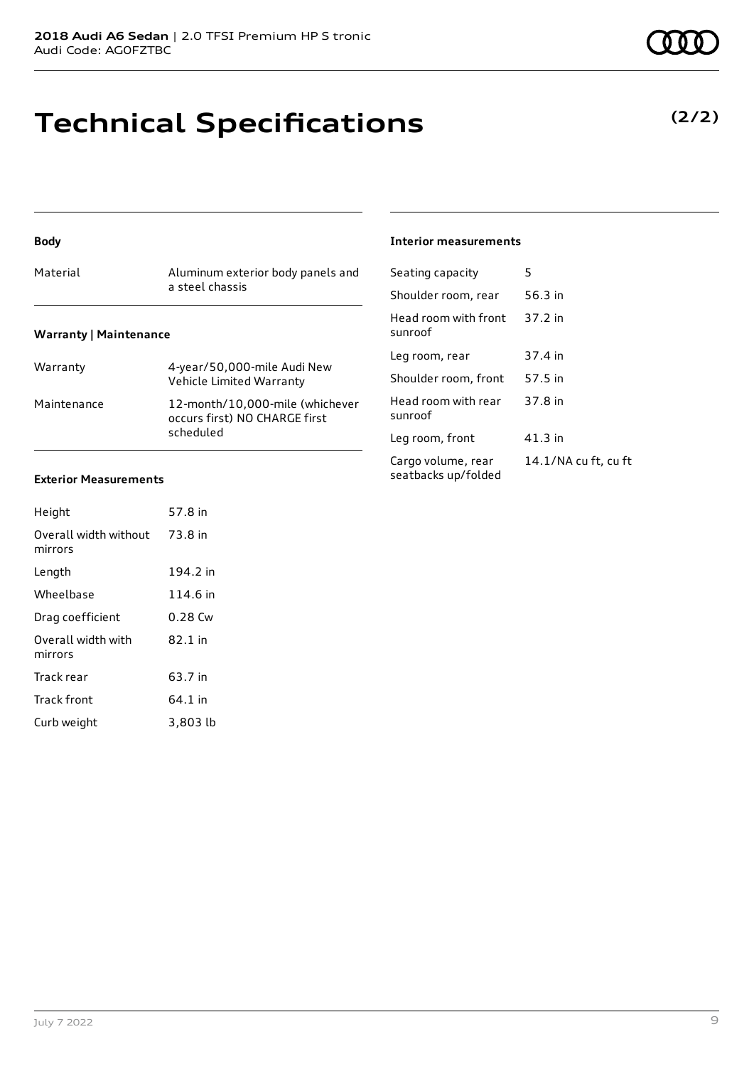### **Technical Specifications**

### **Body**

| Material | Aluminum exterior body panels and<br>a steel chassis |
|----------|------------------------------------------------------|
|          |                                                      |

### **Warranty | Maintenance**

| Warranty    | 4-year/50,000-mile Audi New<br>Vehicle Limited Warranty                       |
|-------------|-------------------------------------------------------------------------------|
| Maintenance | 12-month/10,000-mile (whichever<br>occurs first) NO CHARGE first<br>scheduled |

### **Exterior Measurements**

| Height                           | 57.8 in   |
|----------------------------------|-----------|
| Overall width without<br>mirrors | 73.8 in   |
| Length                           | 194.2 in  |
| Wheelbase                        | 114.6 in  |
| Drag coefficient                 | $0.28$ Cw |
| Overall width with<br>mirrors    | $82.1$ in |
| Track rear                       | 63.7 in   |
| Track front                      | 64.1 in   |
| Curb weight                      | 3,803 lb  |

#### **Interior measurements**

| Seating capacity                          | 5                    |
|-------------------------------------------|----------------------|
| Shoulder room, rear                       | 56.3 in              |
| Head room with front<br>sunroof           | 37.2 in              |
| Leg room, rear                            | 37.4 in              |
| Shoulder room, front                      | 57.5 in              |
| Head room with rear<br>sunroof            | 37.8 in              |
| Leg room, front                           | 41.3 in              |
| Cargo volume, rear<br>seatbacks up/folded | 14.1/NA cu ft, cu ft |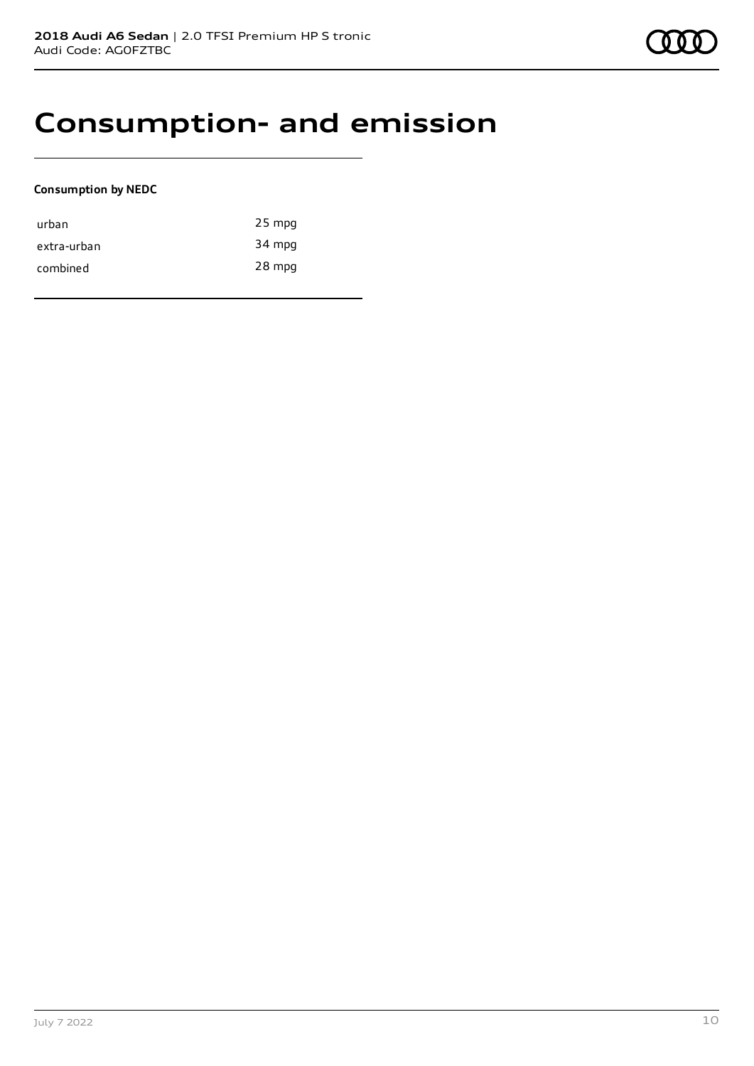### **Consumption- and emission**

### **Consumption by NEDC**

| urban       | $25$ mpg |
|-------------|----------|
| extra-urban | 34 mpg   |
| combined    | 28 mpg   |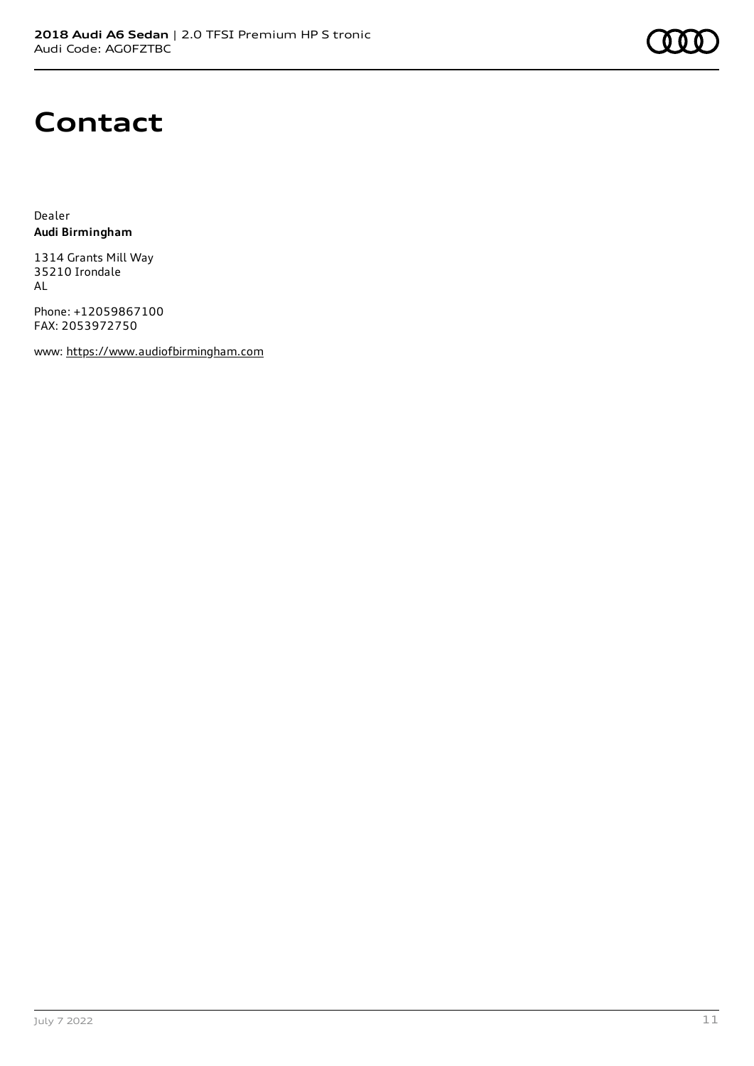

### **Contact**

Dealer **Audi Birmingham**

1314 Grants Mill Way 35210 Irondale AL

Phone: +12059867100 FAX: 2053972750

www: [https://www.audiofbirmingham.com](https://www.audiofbirmingham.com/)